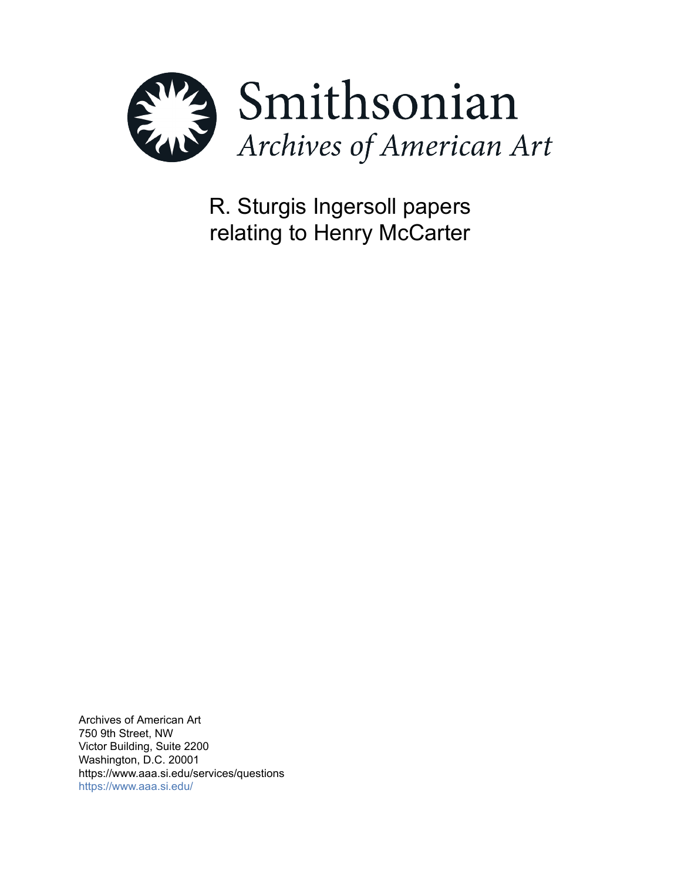

R. Sturgis Ingersoll papers relating to Henry McCarter

Archives of American Art 750 9th Street, NW Victor Building, Suite 2200 Washington, D.C. 20001 https://www.aaa.si.edu/services/questions <https://www.aaa.si.edu/>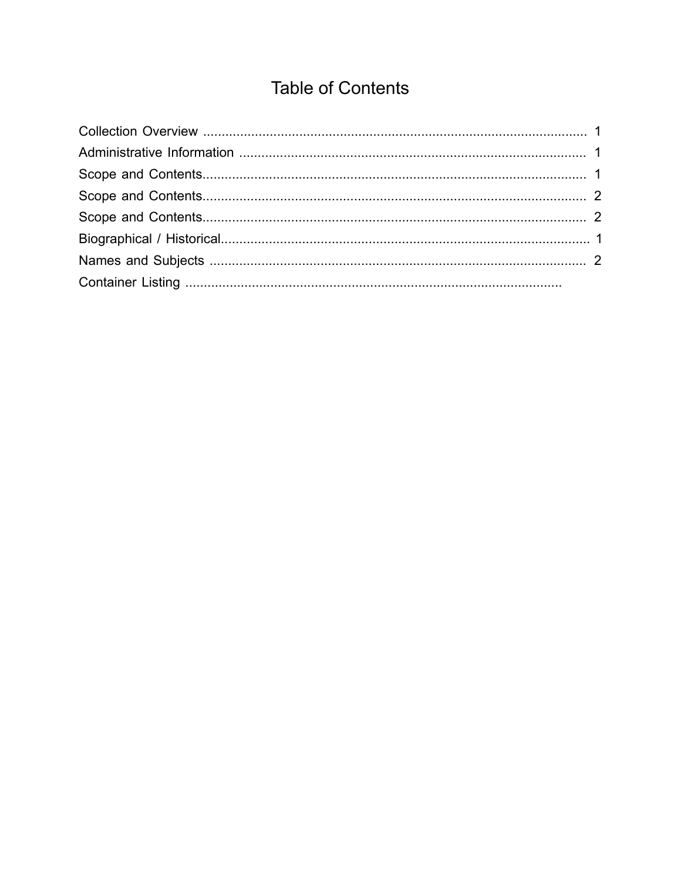# **Table of Contents**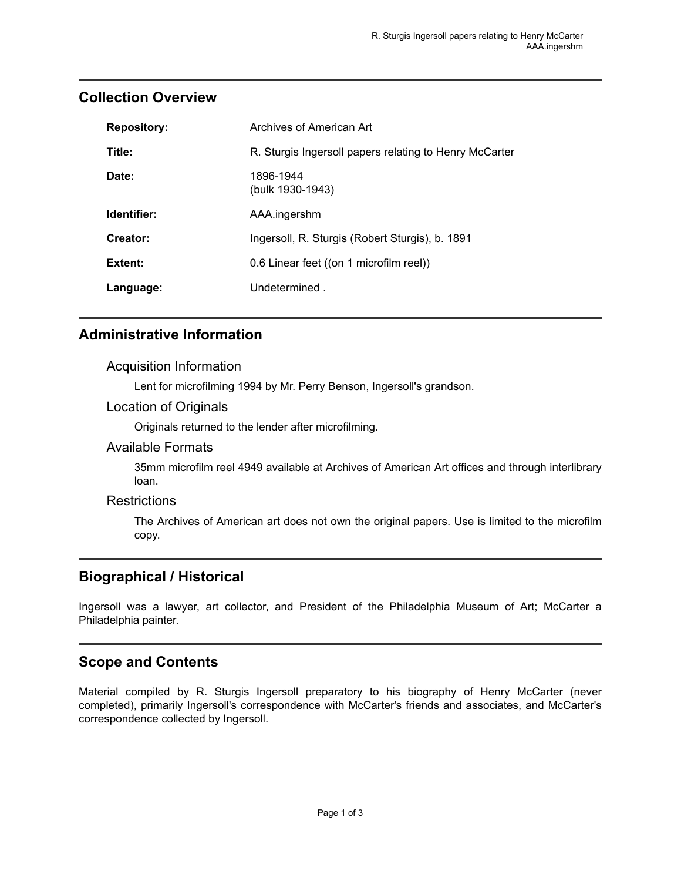| <b>Repository:</b> | Archives of American Art                               |
|--------------------|--------------------------------------------------------|
| Title:             | R. Sturgis Ingersoll papers relating to Henry McCarter |
| Date:              | 1896-1944<br>(bulk 1930-1943)                          |
| Identifier:        | AAA.ingershm                                           |
| Creator:           | Ingersoll, R. Sturgis (Robert Sturgis), b. 1891        |
| Extent:            | 0.6 Linear feet ((on 1 microfilm reel))                |
| Language:          | Undetermined.                                          |

## <span id="page-2-0"></span>**Collection Overview**

## <span id="page-2-1"></span>**Administrative Information**

### Acquisition Information

Lent for microfilming 1994 by Mr. Perry Benson, Ingersoll's grandson.

### Location of Originals

Originals returned to the lender after microfilming.

### Available Formats

35mm microfilm reel 4949 available at Archives of American Art offices and through interlibrary loan.

### **Restrictions**

The Archives of American art does not own the original papers. Use is limited to the microfilm copy.

## <span id="page-2-3"></span>**Biographical / Historical**

Ingersoll was a lawyer, art collector, and President of the Philadelphia Museum of Art; McCarter a Philadelphia painter.

## <span id="page-2-2"></span>**Scope and Contents**

Material compiled by R. Sturgis Ingersoll preparatory to his biography of Henry McCarter (never completed), primarily Ingersoll's correspondence with McCarter's friends and associates, and McCarter's correspondence collected by Ingersoll.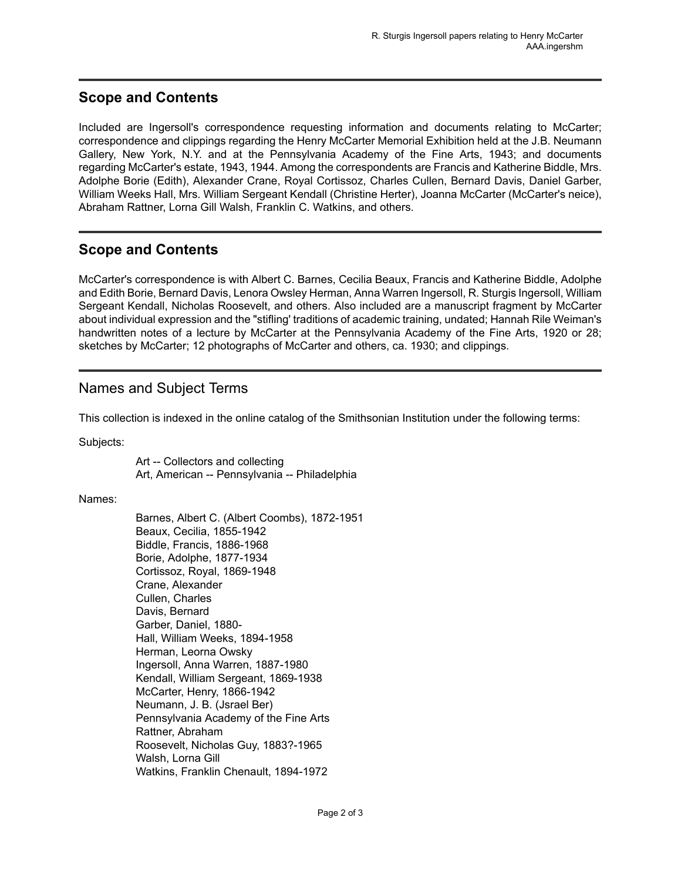# <span id="page-3-0"></span>**Scope and Contents**

Included are Ingersoll's correspondence requesting information and documents relating to McCarter; correspondence and clippings regarding the Henry McCarter Memorial Exhibition held at the J.B. Neumann Gallery, New York, N.Y. and at the Pennsylvania Academy of the Fine Arts, 1943; and documents regarding McCarter's estate, 1943, 1944. Among the correspondents are Francis and Katherine Biddle, Mrs. Adolphe Borie (Edith), Alexander Crane, Royal Cortissoz, Charles Cullen, Bernard Davis, Daniel Garber, William Weeks Hall, Mrs. William Sergeant Kendall (Christine Herter), Joanna McCarter (McCarter's neice), Abraham Rattner, Lorna Gill Walsh, Franklin C. Watkins, and others.

# <span id="page-3-1"></span>**Scope and Contents**

McCarter's correspondence is with Albert C. Barnes, Cecilia Beaux, Francis and Katherine Biddle, Adolphe and Edith Borie, Bernard Davis, Lenora Owsley Herman, Anna Warren Ingersoll, R. Sturgis Ingersoll, William Sergeant Kendall, Nicholas Roosevelt, and others. Also included are a manuscript fragment by McCarter about individual expression and the "stifling' traditions of academic training, undated; Hannah Rile Weiman's handwritten notes of a lecture by McCarter at the Pennsylvania Academy of the Fine Arts, 1920 or 28; sketches by McCarter; 12 photographs of McCarter and others, ca. 1930; and clippings.

# <span id="page-3-2"></span>Names and Subject Terms

This collection is indexed in the online catalog of the Smithsonian Institution under the following terms:

Subjects:

Art -- Collectors and collecting Art, American -- Pennsylvania -- Philadelphia

#### Names:

Barnes, Albert C. (Albert Coombs), 1872-1951 Beaux, Cecilia, 1855-1942 Biddle, Francis, 1886-1968 Borie, Adolphe, 1877-1934 Cortissoz, Royal, 1869-1948 Crane, Alexander Cullen, Charles Davis, Bernard Garber, Daniel, 1880- Hall, William Weeks, 1894-1958 Herman, Leorna Owsky Ingersoll, Anna Warren, 1887-1980 Kendall, William Sergeant, 1869-1938 McCarter, Henry, 1866-1942 Neumann, J. B. (Jsrael Ber) Pennsylvania Academy of the Fine Arts Rattner, Abraham Roosevelt, Nicholas Guy, 1883?-1965 Walsh, Lorna Gill Watkins, Franklin Chenault, 1894-1972